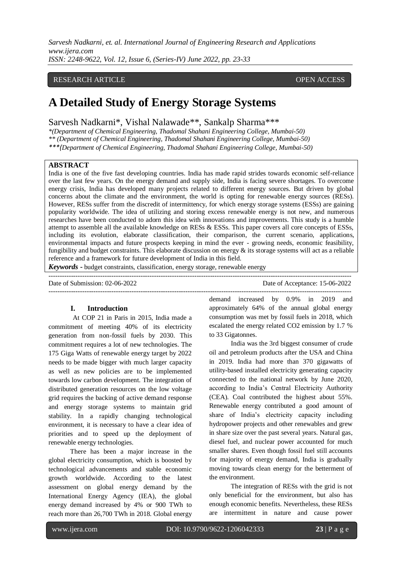*Sarvesh Nadkarni, et. al. International Journal of Engineering Research and Applications www.ijera.com ISSN: 2248-9622, Vol. 12, Issue 6, (Series-IV) June 2022, pp. 23-33*

# RESEARCH ARTICLE **CONSERVERS** OPEN ACCESS

# **A Detailed Study of Energy Storage Systems**

Sarvesh Nadkarni\*, Vishal Nalawade\*\*, Sankalp Sharma\*\*\*

*\*(Department of Chemical Engineering, Thadomal Shahani Engineering College, Mumbai-50) \*\* (Department of Chemical Engineering, Thadomal Shahani Engineering College, Mumbai-50)*

*\*\*\*(Department of Chemical Engineering, Thadomal Shahani Engineering College, Mumbai-50)*

# **ABSTRACT**

India is one of the five fast developing countries. India has made rapid strides towards economic self-reliance over the last few years. On the energy demand and supply side, India is facing severe shortages. To overcome energy crisis, India has developed many projects related to different energy sources. But driven by global concerns about the climate and the environment, the world is opting for renewable energy sources (RESs). However, RESs suffer from the discredit of intermittency, for which energy storage systems (ESSs) are gaining popularity worldwide. The idea of utilizing and storing excess renewable energy is not new, and numerous researches have been conducted to adorn this idea with innovations and improvements. This study is a humble attempt to assemble all the available knowledge on RESs & ESSs. This paper covers all core concepts of ESSs, including its evolution, elaborate classification, their comparison, the current scenario, applications, environmental impacts and future prospects keeping in mind the ever - growing needs, economic feasibility, fungibility and budget constraints. This elaborate discussion on energy & its storage systems will act as a reliable reference and a framework for future development of India in this field.

*Keywords* **-** budget constraints, classification, energy storage, renewable energy

| Date of Submission: 02-06-2022 | Date of Acceptance: 15-06-2022 |
|--------------------------------|--------------------------------|
|                                |                                |

# **I. Introduction**

At COP 21 in Paris in 2015, India made a commitment of meeting 40% of its electricity generation from non-fossil fuels by 2030. This commitment requires a lot of new technologies. The 175 Giga Watts of renewable energy target by 2022 needs to be made bigger with much larger capacity as well as new policies are to be implemented towards low carbon development. The integration of distributed generation resources on the low voltage grid requires the backing of active demand response and energy storage systems to maintain grid stability. In a rapidly changing technological environment, it is necessary to have a clear idea of priorities and to speed up the deployment of renewable energy technologies.

 There has been a major increase in the global electricity consumption, which is boosted by technological advancements and stable economic growth worldwide. According to the latest assessment on global energy demand by the International Energy Agency (IEA), the global energy demand increased by 4% or 900 TWh to reach more than 26,700 TWh in 2018. Global energy

demand increased by 0.9% in 2019 and approximately 64% of the annual global energy consumption was met by fossil fuels in 2018, which escalated the energy related CO2 emission by 1.7 % to 33 Gigatonnes.

 India was the 3rd biggest consumer of crude oil and petroleum products after the USA and China in 2019. India had more than 370 gigawatts of utility-based installed electricity generating capacity connected to the national network by June 2020, according to India's Central Electricity Authority (CEA). Coal contributed the highest about 55%. Renewable energy contributed a good amount of share of India's electricity capacity including hydropower projects and other renewables and grew in share size over the past several years. Natural gas, diesel fuel, and nuclear power accounted for much smaller shares. Even though fossil fuel still accounts for majority of energy demand, India is gradually moving towards clean energy for the betterment of the environment.

 The integration of RESs with the grid is not only beneficial for the environment, but also has enough economic benefits. Nevertheless, these RESs are intermittent in nature and cause power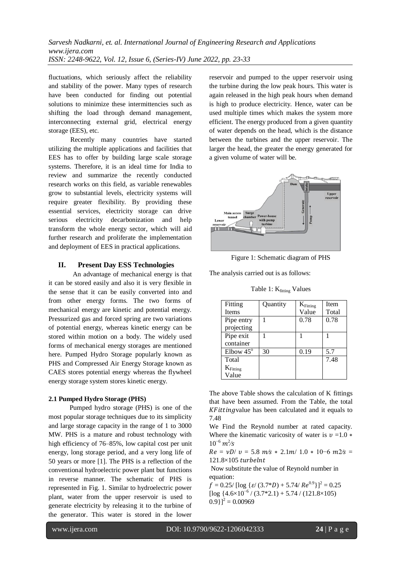fluctuations, which seriously affect the reliability and stability of the power. Many types of research have been conducted for finding out potential solutions to minimize these intermittencies such as shifting the load through demand management, interconnecting external grid, electrical energy storage (EES), etc.

 Recently many countries have started utilizing the multiple applications and facilities that EES has to offer by building large scale storage systems. Therefore, it is an ideal time for India to review and summarize the recently conducted research works on this field, as variable renewables grow to substantial levels, electricity systems will require greater flexibility. By providing these essential services, electricity storage can drive serious electricity decarbonization and help transform the whole energy sector, which will aid further research and proliferate the implementation and deployment of EES in practical applications.

## **II. Present Day ESS Technologies**

An advantage of mechanical energy is that it can be stored easily and also it is very flexible in the sense that it can be easily converted into and from other energy forms. The two forms of mechanical energy are kinetic and potential energy. Pressurized gas and forced spring are two variations of potential energy, whereas kinetic energy can be stored within motion on a body. The widely used forms of mechanical energy storages are mentioned here. Pumped Hydro Storage popularly known as PHS and Compressed Air Energy Storage known as CAES stores potential energy whereas the flywheel energy storage system stores kinetic energy.

# **2.1 Pumped Hydro Storage (PHS)**

Pumped hydro storage (PHS) is one of the most popular storage techniques due to its simplicity and large storage capacity in the range of 1 to 3000 MW. PHS is a mature and robust technology with high efficiency of 76–85%, low capital cost per unit energy, long storage period, and a very long life of 50 years or more [1]. The PHS is a reflection of the conventional hydroelectric power plant but functions in reverse manner. The schematic of PHS is represented in Fig. 1. Similar to hydroelectric power plant, water from the upper reservoir is used to generate electricity by releasing it to the turbine of the generator. This water is stored in the lower

reservoir and pumped to the upper reservoir using the turbine during the low peak hours. This water is again released in the high peak hours when demand is high to produce electricity. Hence, water can be used multiple times which makes the system more efficient. The energy produced from a given quantity of water depends on the head, which is the distance between the turbines and the upper reservoir. The larger the head, the greater the energy generated for a given volume of water will be.



Figure 1: Schematic diagram of PHS

The analysis carried out is as follows:

Table 1:  $K_{fitting}$  Values

| Fitting          | Quantity | $K_{Fitting}$ | Item  |
|------------------|----------|---------------|-------|
| <b>Items</b>     |          | Value         | Total |
| Pipe entry       |          | 0.78          | 0.78  |
| projecting       |          |               |       |
| Pipe exit        |          |               |       |
| container        |          |               |       |
| Elbow $45^\circ$ | 30       | 0.19          | 5.7   |
| Total            |          |               | 7.48  |
| $K_{Fitting}$    |          |               |       |
| Value            |          |               |       |

The above Table shows the calculation of K fittings that have been assumed. From the Table, the total  $KFitting$  value has been calculated and it equals to 7.48

We Find the Reynold number at rated capacity. Where the kinematic varicosity of water is  $v =1.0$  \*  $10^{-6}$   $m^2$ /s

 $Re = vD/v = 5.8$   $m/s * 2.1m/1.0 * 10-6$   $m2/s =$ 121.8×105 turbelnt

Now substitute the value of Reynold number in equation:

 $f = 0.25/$  [log { $\varepsilon / (3.7 * D) + 5.74/Re^{0.9}$ }]<sup>2</sup> = 0.25 [ $\log \left\{4.6 \times 10^{-6} / (3.7 \times 2.1) + 5.74 / (121.8 \times 105)\right\}$  $[0.9]$ <sup>2</sup> = 0.00969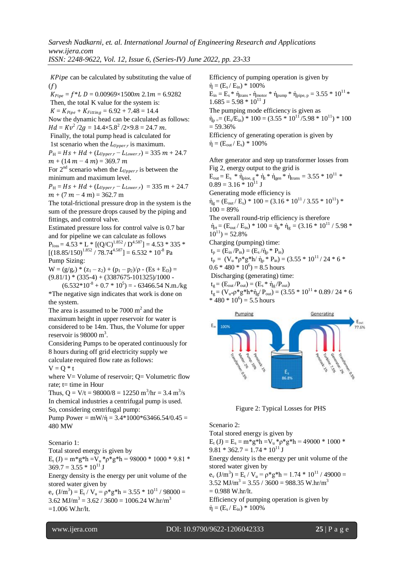$KPipe$  can be calculated by substituting the value of  $(f)$ 

 $K_{Pine} = f^*L D = 0.00969 \times 1500 m 2.1 m = 6.9282$ Then, the total K value for the system is:  $K = K_{\text{Pine}} + K_{\text{Fitting}} = 6.92 + 7.48 = 14.4$ Now the dynamic head can be calculated as follows:  $Hd = Kv^2 / 2g = 14.4 \times 5.8^2 / 2 \times 9.8 = 24.7 m.$ Finally, the total pump head is calculated for 1st scenario when the  $L_{Upper,r}$  is maximum.

 $P_{\rm H} = Hs + Hd + (L_{\rm Inner\,r} - L_{\rm Lower\,r}) = 335 \, m + 24.7$  $m + (14 m - 4 m) = 369.7 m$ 

For  $2<sup>nd</sup>$  scenario when the  $L_{Upper,r}$  is between the minimum and maximum level.

 $P_{\rm H} = Hs + Hd + (L_{Upper,r} - L_{Lower,r}) = 335 m + 24.7$  $m + (7 m - 4 m) = 362.7 m$ 

The total-frictional pressure drop in the system is the sum of the pressure drops caused by the piping and fittings, and control valve.

Estimated pressure loss for control valve is 0.7 bar and for pipeline we can calculate as follows

 $P_{\text{loss}} = 4.53 * L * [(Q/C)^{1.852} / D^{4.587}] = 4.53 * 335 *$  $[(18.85/150)^{1.852} / 78.74^{4.587}] = 6.532 * 10^{-8}$  Pa Pump Sizing:

 $W = (g/g<sub>c</sub>) * (z<sub>1</sub> - z<sub>2</sub>) + (p<sub>1</sub> - p<sub>2</sub>)/ρ - (Es + E<sub>D</sub>) =$  $(9.81/1)*(335-4)+(3387675-101325)/1000$  -

 $(6.532*10^{8}+0.7*10^{5}) = -63466.54$  N.m./kg \*The negative sign indicates that work is done on the system.

The area is assumed to be  $7000 \text{ m}^2$  and the maximum height in upper reservoir for water is considered to be 14m. Thus, the Volume for upper reservoir is  $98000 \text{ m}^3$ .

Considering Pumps to be operated continuously for 8 hours during off grid electricity supply we calculate required flow rate as follows:

$$
V = Q * t
$$

where  $V =$  Volume of reservoir;  $Q =$  Volumetric flow rate;  $t=$  time in Hour

Thus,  $Q = V/t = 98000/8 = 12250$  m<sup>3</sup>/hr = 3.4 m<sup>3</sup>/s In chemical industries a centrifugal pump is used. So, considering centrifugal pump:

Pump Power =  $mW/\dot{\eta} = 3.4*1000*63466.54/0.45 =$ 480 MW

Scenario 1:

Total stored energy is given by  $E_t$  (J) = m\*g\*h = $V_u$ \* $p$ \*g\*h = 98000 \* 1000 \* 9.81 \*  $369.7 = 3.55 * 10^{11}$  J

Energy density is the energy per unit volume of the stored water given by

 $e_v$  (J/m<sup>3</sup>) = E<sub>t</sub> / V<sub>u</sub> =  $\rho$ \*g\*h = 3.55 \* 10<sup>11</sup> / 98000 =  $3.62 \text{ MJ/m}^3 = 3.62 / 3600 = 1006.24 \text{ W}.\text{hr/m}^3$  $=1.006$  W.hr/lt.

Efficiency of pumping operation is given by  $\dot{\eta} = (E_s/E_{in}) * 100\%$  $E_{in} = E_s * \dot{\eta}_{trans} * \dot{\eta}_{motor} * \dot{\eta}_{pump} * \dot{\eta}_{pipe, p} = 3.55 * 10^{11} *$  $1.685 = 5.98 * 10^{11}$  J The pumping mode efficiency is given as  $\dot{\eta}_p = (E_s/E_{in}) * 100 = (3.55 * 10^{11}/5.98 * 10^{11}) * 100$  $= 59.36%$ Efficiency of generating operation is given by  $\dot{\eta} = (E_{\text{out}}/E_{\text{s}}) * 100\%$ 

After generator and step up transformer losses from Fig 2, energy output to the grid is  $E_{\text{out}} = E_{\text{s}} * \dot{\eta}_{\text{pioe, g}} * \dot{\eta}_{\text{t}} * \dot{\eta}_{\text{gen}} * \dot{\eta}_{\text{trans}} = 3.55 * 10^{11} *$  $0.89 = 3.16 * 10^{11}$  J Generating mode efficiency is  $\dot{\eta}_g = (E_{\text{out}}/E_s) * 100 = (3.16 * 10^{11}/3.55 * 10^{11}) *$  $100 = 89%$ The overall round-trip efficiency is therefore  $\dot{\eta}_{\text{rt}} = (E_{\text{out}}/E_{\text{in}}) * 100 = \dot{\eta}_{\text{p}} * \dot{\eta}_{g} = (3.16 * 10^{11} / 5.98 *$  $10^{11}$ ) = 52.8% Charging (pumping) time:  $t_p = (E_{in}/P_{in}) = (E_s/\dot{\eta}_p * P_{in})$  $t_p = (V_u * \rho * g * h / \dot{\eta}_p * P_{in}) = (3.55 * 10^{11} / 24 * 6 *$  $0.6 * 480 * 10^6$  = 8.5 hours

Discharging (generating) time:

$$
\begin{array}{l} t_g = (E_{out}/P_{out}) = (E_s * \dot{\eta}_g/P_{out}) \\ t_g = (V_{u^*} \rho^* g^* h^* \dot{\eta}_g/P_{out}) = (3.55 * 10^{11} * 0.89 / 24 * 6 \\ * 480 * 10^6) = 5.5 \; hours \end{array}
$$



Figure 2: Typical Losses for PHS

Scenario 2:

Total stored energy is given by  $E_t$  (J) =  $E_s = m * g * h = V_u * \rho * g * h = 49000 * 1000 *$  $9.81 * 362.7 = 1.74 * 10<sup>11</sup> J$ Energy density is the energy per unit volume of the stored water given by  $e_v$  (J/m<sup>3</sup>) = E<sub>t</sub> / V<sub>u</sub> =  $\rho$ \*g\*h = 1.74 \* 10<sup>11</sup> / 49000 =  $3.52 \text{ MJ/m}^3 = 3.55 / 3600 = 988.35 \text{ W}.\text{hr/m}^3$  $= 0.988$  W.hr/lt. Efficiency of pumping operation is given by  $\dot{\eta} = (E_s/E_{in}) * 100\%$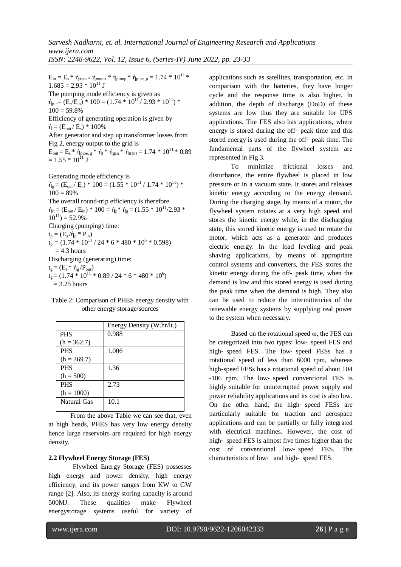$E_{in} = E_s * \dot{\eta}_{trans} * \dot{\eta}_{motor} * \dot{\eta}_{pump} * \dot{\eta}_{pipe, p} = 1.74 * 10^{11} *$  $1.685 = 2.93 * 10^{11}$  J The pumping mode efficiency is given as  $\dot{\eta}_p = (E_s/E_{in}) * 100 = (1.74 * 10^{11} / 2.93 * 10^{11}) *$  $100 = 59.8\%$ Efficiency of generating operation is given by  $\dot{\eta} = (E_{out} / E_s) * 100\%$ After generator and step up transformer losses from Fig 2, energy output to the grid is  $E_{\text{out}} = E_s * \dot{\eta}_{\text{pioe, g}} * \dot{\eta}_t * \dot{\eta}_{\text{gen}} * \dot{\eta}_{\text{trans}} = 1.74 * 10^{11} * 0.89$  $= 1.55 * 10^{11}$  J

Generating mode efficiency is  $\dot{\eta}_g = (E_{out}/E_s) * 100 = (1.55 * 10^{11} / 1.74 * 10^{11}) *$  $100 = 89\%$ The overall round-trip efficiency is therefore  $\dot{\eta}_{\rm rt} = (E_{\rm out}/E_{\rm in}) * 100 = \dot{\eta}_{\rm p} * \dot{\eta}_{\rm g} = (1.55 * 10^{11}/2.93 *$  $10^{11}$ ) = 52.9% Charging (pumping) time:  $t_p = (E_s / \dot{\eta}_p * P_{in})$  $t_p = (1.74 * 10^{11} / 24 * 6 * 480 * 10^6 * 0.598)$  $= 4.3$  hours Discharging (generating) time:  $t_g = (E_s * \dot{\eta}_g / P_{out})$  $t<sub>g</sub> = (1.74 * 10<sup>11</sup> * 0.89 / 24 * 6 * 480 * 10<sup>6</sup>)$  $= 3.25$  hours

| Table 2: Comparison of PHES energy density with |  |
|-------------------------------------------------|--|
| other energy storage/sources                    |  |

|                    | Energy Density (W.hr/lt.) |
|--------------------|---------------------------|
| <b>PHS</b>         | 0.988                     |
| $(h = 362.7)$      |                           |
| <b>PHS</b>         | 1.006                     |
| $(h = 369.7)$      |                           |
| <b>PHS</b>         | 1.36                      |
| $(h = 500)$        |                           |
| <b>PHS</b>         | 2.73                      |
| $(h = 1000)$       |                           |
| <b>Natural Gas</b> | 10.1                      |
|                    |                           |

 From the above Table we can see that, even at high heads, PHES has very low energy density hence large reservoirs are required for high energy density.

### **2.2 Flywheel Energy Storage (FES)**

Flywheel Energy Storage (FES) possesses high energy and power density, high energy efficiency, and its power ranges from KW to GW range [2]. Also, its energy storing capacity is around 500MJ. These qualities make Flywheel energystorage systems useful for variety of applications such as satellites, transportation, etc. In comparison with the batteries, they have longer cycle and the response time is also higher. In addition, the depth of discharge (DoD) of these systems are low thus they are suitable for UPS applications. The FES also has applications, where energy is stored during the off‐ peak time and this stored energy is used during the off‐ peak time. The fundamental parts of the flywheel system are represented in Fig 3.

 To minimize frictional losses and disturbance, the entire flywheel is placed in low pressure or in a vacuum state. It stores and releases kinetic energy according to the energy demand. During the charging stage, by means of a motor, the flywheel system rotates at a very high speed and stores the kinetic energy while, in the discharging state, this stored kinetic energy is used to rotate the motor, which acts as a generator and produces electric energy. In the load leveling and peak shaving applications, by means of appropriate control systems and converters, the FES stores the kinetic energy during the off‐ peak time, when the demand is low and this stored energy is used during the peak time when the demand is high. They also can be used to reduce the intermittencies of the renewable energy systems by supplying real power to the system when necessary.

 Based on the rotational speed ω, the FES can be categorized into two types: low‐ speed FES and high‐ speed FES. The low‐ speed FESs has a rotational speed of less than 6000 rpm, whereas high-speed FESs has a rotational speed of about 104 -106 rpm. The low‐ speed conventional FES is highly suitable for uninterrupted power supply and power reliability applications and its cost is also low. On the other hand, the high‐ speed FESs are particularly suitable for traction and aerospace applications and can be partially or fully integrated with electrical machines. However, the cost of high-speed FES is almost five times higher than the cost of conventional low‐ speed FES. The characteristics of low‐ and high‐ speed FES.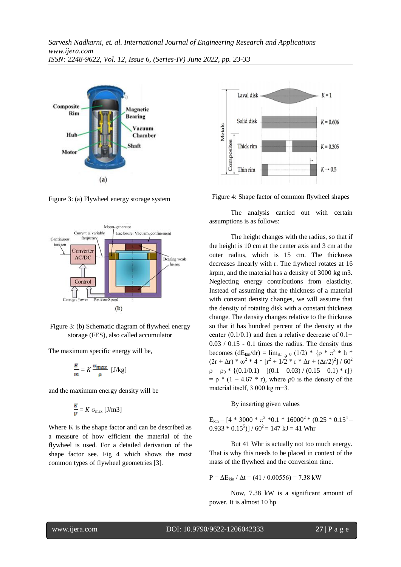

Figure 3: (a) Flywheel energy storage system





The maximum specific energy will be,

$$
\frac{E}{m} = K \frac{\sigma_{max}}{p} \quad [J/kg]
$$

and the maximum energy density will be

$$
\frac{E}{V} = K \sigma_{\text{max}} [J/m3]
$$

Where K is the shape factor and can be described as a measure of how efficient the material of the flywheel is used. For a detailed derivation of the shape factor see. Fig 4 which shows the most common types of flywheel geometries [3].



Figure 4: Shape factor of common flywheel shapes

 The analysis carried out with certain assumptions is as follows:

 The height changes with the radius, so that if the height is 10 cm at the center axis and 3 cm at the outer radius, which is 15 cm. The thickness decreases linearly with r. The flywheel rotates at 16 krpm, and the material has a density of 3000 kg m3. Neglecting energy contributions from elasticity. Instead of assuming that the thickness of a material with constant density changes, we will assume that the density of rotating disk with a constant thickness change. The density changes relative to the thickness so that it has hundred percent of the density at the center (0.1/0.1) and then a relative decrease of 0.1−  $0.03 / 0.15 - 0.1$  times the radius. The density thus becomes  $(dE_{kin}/dr) = \lim_{\Delta r \to 0} (1/2) * {p * \pi^3 * h *}$  $(2r + \Delta r) * \omega^2 * 4 * [r^2 + 1/2 * r * \Delta r + (\Delta r/2)^2] / 60^2$  $\rho = \rho_0 * \{ (0.1/0.1) - [(0.1 - 0.03) / (0.15 - 0.1) * r] \}$  $= \rho * (1 - 4.67 * r)$ , where  $\rho$ 0 is the density of the material itself, 3 000 kg m−3.

# By inserting given values

 $E_{kin} = [4 * 3000 * \pi^3 * 0.1 * 16000^2 * (0.25 * 0.15^4 (0.933 * 0.15^5)] / 60^2 = 147$  kJ = 41 Whr

 But 41 Whr is actually not too much energy. That is why this needs to be placed in context of the mass of the flywheel and the conversion time.

 $P = \Delta E_{kin} / \Delta t = (41 / 0.00556) = 7.38$  kW

 Now, 7.38 kW is a significant amount of power. It is almost 10 hp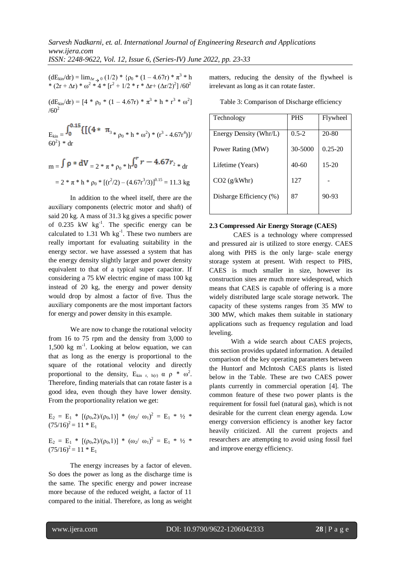$(dE_{kin}/dr) = \lim_{\Delta r \to 0} (1/2)^*$  { $\rho_0 * (1 - 4.67r) * \pi^3 * h$ \*  $(2r + \Delta r) * \omega^2 * 4 * [r^2 + 1/2 * r * \Delta r + (\Delta r/2)^2] / 60^2$ 

 $(dE_{kin}/dr) = [4 * \rho_0 * (1 - 4.67r) * \pi^3 * h * r^3 * \omega^2]$  $/60^2$ 

 $E_{kin} = \frac{J_0}{\sqrt{2}}$   $\frac{11(1 + \frac{13}{13} * \rho_0 * h * \omega^2) * (r^3 - 4.67r^4)}{(\rho_0 + \frac{13}{13} + \rho_0^2) * (r^3 - 4.67r^4)}$  $60^2$  \* dr

$$
m = \int \rho * dV = 2 * \pi * \rho_0 * h \int_0^r r - 4.67r_{2*} dr
$$
  
= 2 \* \pi \* h \* \rho\_0 \* [((r<sup>2</sup>/2) - (4.67r<sup>3</sup>/3))]<sup>0.15</sup> = 11.3 kg

 In addition to the wheel itself, there are the auxiliary components (electric motor and shaft) of said 20 kg. A mass of 31.3 kg gives a specific power of  $0.235$  kW kg<sup>-1</sup>. The specific energy can be calculated to 1.31 Wh  $kg^{-1}$ . These two numbers are really important for evaluating suitability in the energy sector. we have assessed a system that has the energy density slightly larger and power density equivalent to that of a typical super capacitor. If considering a 75 kW electric engine of mass 100 kg instead of 20 kg, the energy and power density would drop by almost a factor of five. Thus the auxiliary components are the most important factors for energy and power density in this example.

We are now to change the rotational velocity from 16 to 75 rpm and the density from 3,000 to  $1,500 \text{ kg m}^{-1}$ . Looking at below equation, we can that as long as the energy is proportional to the square of the rotational velocity and directly proportional to the density,  $E_{kin r, h(r)} \alpha \rho * \omega^2$ . Therefore, finding materials that can rotate faster is a good idea, even though they have lower density. From the proportionality relation we get:

 $E_2 = E_1 * [(\rho_0, 2)/(\rho_0, 1)] * (\omega_2 / \omega_1)^2 = E_1 * 1/2 *$  $(75/16)^2$  = 11 \* E<sub>1</sub>

 $E_2 = E_1 * [(\rho_0, 2)/(\rho_0, 1)] * (\omega_2 / \omega_1)^2 = E_1 * 1/2 *$  $(75/16)^2$  = 11 \* E<sub>1</sub>

 The energy increases by a factor of eleven. So does the power as long as the discharge time is the same. The specific energy and power increase more because of the reduced weight, a factor of 11 compared to the initial. Therefore, as long as weight matters, reducing the density of the flywheel is irrelevant as long as it can rotate faster.

| Technology              | <b>PHS</b> | Flywheel    |
|-------------------------|------------|-------------|
| Energy Density (Whr/L)  | $0.5 - 2$  | $20 - 80$   |
| Power Rating (MW)       | 30-5000    | $0.25 - 20$ |
| Lifetime (Years)        | $40-60$    | $15-20$     |
| CO2(g/kWhr)             | 127        |             |
| Disharge Efficiency (%) | 87         | $90 - 93$   |
|                         |            |             |

#### **2.3 Compressed Air Energy Storage (CAES)**

CAES is a technology where compressed and pressured air is utilized to store energy. CAES along with PHS is the only large‐ scale energy storage system at present. With respect to PHS, CAES is much smaller in size, however its construction sites are much more widespread, which means that CAES is capable of offering is a more widely distributed large scale storage network. The capacity of these systems ranges from 35 MW to 300 MW, which makes them suitable in stationary applications such as frequency regulation and load leveling.

 With a wide search about CAES projects, this section provides updated information. A detailed comparison of the key operating parameters between the Huntorf and McIntosh CAES plants is listed below in the Table. These are two CAES power plants currently in commercial operation [4]. The common feature of these two power plants is the requirement for fossil fuel (natural gas), which is not desirable for the current clean energy agenda. Low energy conversion efficiency is another key factor heavily criticized. All the current projects and researchers are attempting to avoid using fossil fuel and improve energy efficiency.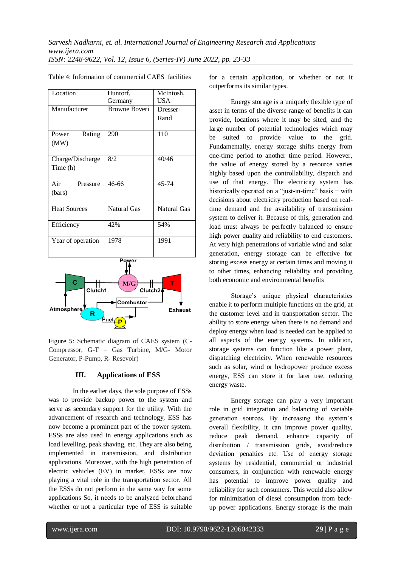| Location                            | Huntorf,             | McIntosh,          |  |  |
|-------------------------------------|----------------------|--------------------|--|--|
|                                     | Germany              | <b>USA</b>         |  |  |
| Manufacturer                        | <b>Browne Boveri</b> | Dresser-           |  |  |
|                                     |                      | Rand               |  |  |
|                                     |                      |                    |  |  |
| Rating<br>Power                     | 290                  | 110                |  |  |
| (MW)                                |                      |                    |  |  |
|                                     |                      |                    |  |  |
| Charge/Discharge                    | 8/2                  | 40/46              |  |  |
| Time (h)                            |                      |                    |  |  |
|                                     |                      |                    |  |  |
| Air<br>Pressure                     | 46-66                | $45 - 74$          |  |  |
| (bars)                              |                      |                    |  |  |
|                                     |                      |                    |  |  |
| <b>Heat Sources</b>                 | <b>Natural Gas</b>   | <b>Natural Gas</b> |  |  |
|                                     |                      |                    |  |  |
| Efficiency                          | 42%                  | 54%                |  |  |
|                                     |                      |                    |  |  |
| Year of operation                   | 1978                 | 1991               |  |  |
|                                     |                      |                    |  |  |
|                                     | Power                |                    |  |  |
|                                     |                      |                    |  |  |
|                                     |                      |                    |  |  |
| Ć<br>M/G<br>т                       |                      |                    |  |  |
| Clutch1<br>Clutch2 <b>A</b>         |                      |                    |  |  |
| Combustor                           |                      |                    |  |  |
| <b>Atmosphere</b><br><b>Exhaust</b> |                      |                    |  |  |
| R                                   |                      |                    |  |  |
| <u>Fuel</u>                         |                      |                    |  |  |

Table 4: Information of commercial CAES facilities

Figure 5: Schematic diagram of CAES system (C-Compressor, G-T – Gas Turbine, M/G- Motor Generator, P-Pump, R- Resevoir)

#### **III. Applications of ESS**

In the earlier days, the sole purpose of ESSs was to provide backup power to the system and serve as secondary support for the utility. With the advancement of research and technology, ESS has now become a prominent part of the power system. ESSs are also used in energy applications such as load levelling, peak shaving, etc. They are also being implemented in transmission, and distribution applications. Moreover, with the high penetration of electric vehicles (EV) in market, ESSs are now playing a vital role in the transportation sector. All the ESSs do not perform in the same way for some applications So, it needs to be analyzed beforehand whether or not a particular type of ESS is suitable

for a certain application, or whether or not it outperforms its similar types.

 Energy storage is a uniquely flexible type of asset in terms of the diverse range of benefits it can provide, locations where it may be sited, and the large number of potential technologies which may be suited to provide value to the grid. Fundamentally, energy storage shifts energy from one-time period to another time period. However, the value of energy stored by a resource varies highly based upon the controllability, dispatch and use of that energy. The electricity system has historically operated on a "just-in-time" basis − with decisions about electricity production based on realtime demand and the availability of transmission system to deliver it. Because of this, generation and load must always be perfectly balanced to ensure high power quality and reliability to end customers. At very high penetrations of variable wind and solar generation, energy storage can be effective for storing excess energy at certain times and moving it to other times, enhancing reliability and providing both economic and environmental benefits

 Storage's unique physical characteristics enable it to perform multiple functions on the grid, at the customer level and in transportation sector. The ability to store energy when there is no demand and deploy energy when load is needed can be applied to all aspects of the energy systems. In addition, storage systems can function like a power plant, dispatching electricity. When renewable resources such as solar, wind or hydropower produce excess energy, ESS can store it for later use, reducing energy waste.

 Energy storage can play a very important role in grid integration and balancing of variable generation sources. By increasing the system's overall flexibility, it can improve power quality, reduce peak demand, enhance capacity of distribution / transmission grids, avoid/reduce deviation penalties etc. Use of energy storage systems by residential, commercial or industrial consumers, in conjunction with renewable energy has potential to improve power quality and reliability for such consumers. This would also allow for minimization of diesel consumption from backup power applications. Energy storage is the main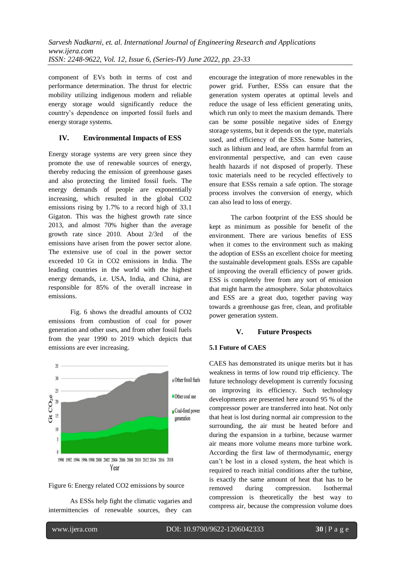component of EVs both in terms of cost and performance determination. The thrust for electric mobility utilizing indigenous modern and reliable energy storage would significantly reduce the country's dependence on imported fossil fuels and energy storage systems.

# **IV. Environmental Impacts of ESS**

Energy storage systems are very green since they promote the use of renewable sources of energy, thereby reducing the emission of greenhouse gases and also protecting the limited fossil fuels. The energy demands of people are exponentially increasing, which resulted in the global CO2 emissions rising by 1.7% to a record high of 33.1 Gigaton. This was the highest growth rate since 2013, and almost 70% higher than the average growth rate since 2010. About 2/3rd of the emissions have arisen from the power sector alone. The extensive use of coal in the power sector exceeded 10 Gt in CO2 emissions in India. The leading countries in the world with the highest energy demands, i.e. USA, India, and China, are responsible for 85% of the overall increase in emissions.

 Fig. 6 shows the dreadful amounts of CO2 emissions from combustion of coal for power generation and other uses, and from other fossil fuels from the year 1990 to 2019 which depicts that emissions are ever increasing.





 As ESSs help fight the climatic vagaries and intermittencies of renewable sources, they can

encourage the integration of more renewables in the power grid. Further, ESSs can ensure that the generation system operates at optimal levels and reduce the usage of less efficient generating units, which run only to meet the maxium demands. There can be some possible negative sides of Energy storage systems, but it depends on the type, materials used, and efficiency of the ESSs. Some batteries, such as lithium and lead, are often harmful from an environmental perspective, and can even cause health hazards if not disposed of properly. These toxic materials need to be recycled effectively to ensure that ESSs remain a safe option. The storage process involves the conversion of energy, which can also lead to loss of energy.

 The carbon footprint of the ESS should be kept as minimum as possible for benefit of the environment. There are various benefits of ESS when it comes to the environment such as making the adoption of ESSs an excellent choice for meeting the sustainable development goals. ESSs are capable of improving the overall efficiency of power grids. ESS is completely free from any sort of emission that might harm the atmosphere. Solar photovoltaics and ESS are a great duo, together paving way towards a greenhouse gas free, clean, and profitable power generation system.

# **V. Future Prospects**

# **5.1 Future of CAES**

CAES has demonstrated its unique merits but it has weakness in terms of low round trip efficiency. The future technology development is currently focusing on improving its efficiency. Such technology developments are presented here around 95 % of the compressor power are transferred into heat. Not only that heat is lost during normal air compression to the surrounding, the air must be heated before and during the expansion in a turbine, because warmer air means more volume means more turbine work. According the first law of thermodynamic, energy can't be lost in a closed system, the heat which is required to reach initial conditions after the turbine, is exactly the same amount of heat that has to be removed during compression. Isothermal compression is theoretically the best way to compress air, because the compression volume does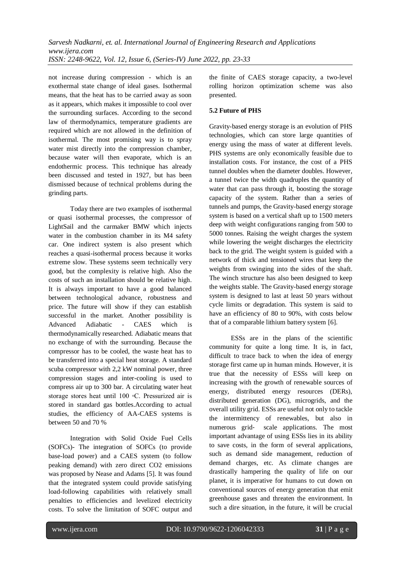not increase during compression - which is an exothermal state change of ideal gases. Isothermal means, that the heat has to be carried away as soon as it appears, which makes it impossible to cool over the surrounding surfaces. According to the second law of thermodynamics, temperature gradients are required which are not allowed in the definition of isothermal. The most promising way is to spray water mist directly into the compression chamber, because water will then evaporate, which is an endothermic process. This technique has already been discussed and tested in 1927, but has been dismissed because of technical problems during the grinding parts.

 Today there are two examples of isothermal or quasi isothermal processes, the compressor of LightSail and the carmaker BMW which injects water in the combustion chamber in its M4 safety car. One indirect system is also present which reaches a quasi-isothermal process because it works extreme slow. These systems seem technically very good, but the complexity is relative high. Also the costs of such an installation should be relative high. It is always important to have a good balanced between technological advance, robustness and price. The future will show if they can establish successful in the market. Another possibility is Advanced Adiabatic - CAES which is thermodynamically researched. Adiabatic means that no exchange of with the surrounding. Because the compressor has to be cooled, the waste heat has to be transferred into a special heat storage. A standard scuba compressor with 2,2 kW nominal power, three compression stages and inter-cooling is used to compress air up to 300 bar. A circulating water heat storage stores heat until 100 ◦C. Pressurized air is stored in standard gas bottles.According to actual studies, the efficiency of AA-CAES systems is between 50 and 70 %

 Integration with Solid Oxide Fuel Cells (SOFCs)- The integration of SOFCs (to provide base-load power) and a CAES system (to follow peaking demand) with zero direct CO2 emissions was proposed by Nease and Adams [5]. It was found that the integrated system could provide satisfying load-following capabilities with relatively small penalties to efficiencies and levelized electricity costs. To solve the limitation of SOFC output and the finite of CAES storage capacity, a two-level rolling horizon optimization scheme was also presented.

# **5.2 Future of PHS**

Gravity-based energy storage is an evolution of PHS technologies, which can store large quantities of energy using the mass of water at different levels. PHS systems are only economically feasible due to installation costs. For instance, the cost of a PHS tunnel doubles when the diameter doubles. However, a tunnel twice the width quadruples the quantity of water that can pass through it, boosting the storage capacity of the system. Rather than a series of tunnels and pumps, the Gravity-based energy storage system is based on a vertical shaft up to 1500 meters deep with weight configurations ranging from 500 to 5000 tonnes. Raising the weight charges the system while lowering the weight discharges the electricity back to the grid. The weight system is guided with a network of thick and tensioned wires that keep the weights from swinging into the sides of the shaft. The winch structure has also been designed to keep the weights stable. The Gravity-based energy storage system is designed to last at least 50 years without cycle limits or degradation. This system is said to have an efficiency of 80 to 90%, with costs below that of a comparable lithium battery system [6].

 ESSs are in the plans of the scientific community for quite a long time. It is, in fact, difficult to trace back to when the idea of energy storage first came up in human minds. However, it is true that the necessity of ESSs will keep on increasing with the growth of renewable sources of energy, distributed energy resources (DERs), distributed generation (DG), microgrids, and the overall utility grid. ESSs are useful not only to tackle the intermittency of renewables, but also in numerous grid- scale applications. The most important advantage of using ESSs lies in its ability to save costs, in the form of several applications, such as demand side management, reduction of demand charges, etc. As climate changes are drastically hampering the quality of life on our planet, it is imperative for humans to cut down on conventional sources of energy generation that emit greenhouse gases and threaten the environment. In such a dire situation, in the future, it will be crucial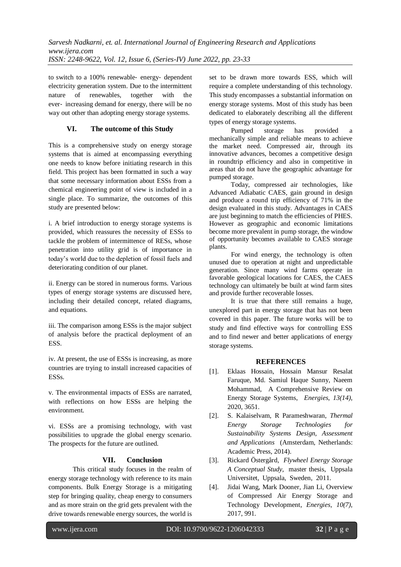to switch to a 100% renewable‐ energy‐ dependent electricity generation system. Due to the intermittent nature of renewables, together with the ever‐ increasing demand for energy, there will be no way out other than adopting energy storage systems.

# **VI. The outcome of this Study**

This is a comprehensive study on energy storage systems that is aimed at encompassing everything one needs to know before initiating research in this field. This project has been formatted in such a way that some necessary information about ESSs from a chemical engineering point of view is included in a single place. To summarize, the outcomes of this study are presented below:

i. A brief introduction to energy storage systems is provided, which reassures the necessity of ESSs to tackle the problem of intermittence of RESs, whose penetration into utility grid is of importance in today's world due to the depletion of fossil fuels and deteriorating condition of our planet.

ii. Energy can be stored in numerous forms. Various types of energy storage systems are discussed here, including their detailed concept, related diagrams, and equations.

iii. The comparison among ESSs is the major subject of analysis before the practical deployment of an ESS.

iv. At present, the use of ESSs is increasing, as more countries are trying to install increased capacities of ESSs.

v. The environmental impacts of ESSs are narrated, with reflections on how ESSs are helping the environment.

vi. ESSs are a promising technology, with vast possibilities to upgrade the global energy scenario. The prospects for the future are outlined.

# **VII. Conclusion**

This critical study focuses in the realm of energy storage technology with reference to its main components. Bulk Energy Storage is a mitigating step for bringing quality, cheap energy to consumers and as more strain on the grid gets prevalent with the drive towards renewable energy sources, the world is

set to be drawn more towards ESS, which will require a complete understanding of this technology. This study encompasses a substantial information on energy storage systems. Most of this study has been dedicated to elaborately describing all the different types of energy storage systems.

 Pumped storage has provided a mechanically simple and reliable means to achieve the market need. Compressed air, through its innovative advances, becomes a competitive design in roundtrip efficiency and also in competitive in areas that do not have the geographic advantage for pumped storage.

 Today, compressed air technologies, like Advanced Adiabatic CAES, gain ground in design and produce a round trip efficiency of 71% in the design evaluated in this study. Advantages in CAES are just beginning to match the efficiencies of PHES. However as geographic and economic limitations become more prevalent in pump storage, the window of opportunity becomes available to CAES storage plants.

 For wind energy, the technology is often unused due to operation at night and unpredictable generation. Since many wind farms operate in favorable geological locations for CAES, the CAES technology can ultimately be built at wind farm sites and provide further recoverable losses.

 It is true that there still remains a huge, unexplored part in energy storage that has not been covered in this paper. The future works will be to study and find effective ways for controlling ESS and to find newer and better applications of energy storage systems.

# **REFERENCES**

- [1]. Eklaas Hossain, Hossain Mansur Resalat Faruque, Md. Samiul Haque Sunny, Naeem Mohammad, A Comprehensive Review on Energy Storage Systems, *Energies, 13(14)*, 2020, 3651.
- [2]. S. Kalaiselvam, R Parameshwaran, *Thermal Energy Storage Technologies for Sustainability Systems Design, Assessment and Applications* (Amsterdam, Netherlands: Academic Press, 2014).
- [3]. Rickard Östergård*, Flywheel Energy Storage A Conceptual Study*, master thesis, Uppsala Universitet, [Uppsala, Sweden,](https://www.google.com/search?sxsrf=ALiCzsbSaXUkdJgYGcKp5iBvSlWuAIrt2w:1654539078379&q=Uppsala&stick=H4sIAAAAAAAAAOPgE-LQz9U3MC_JSlOCspKLtVSzk63084vSE_MyqxJLMvPzUDhWafmleSmpKYtY2UMLCooTcxJ3sDLuYmfiYAAA9SczFE8AAAA&sa=X&ved=2ahUKEwi4oaKwtpn4AhXPwYsBHTIbCSkQmxMoAXoFCI0BEAM) 2011.
- [4]. [Jidai Wang,](https://sciprofiles.com/profile/1195086) [Mark Dooner,](https://sciprofiles.com/profile/author/SEM0UmxVTi9TSEUydW52U05NYlc3L3VONDNGWTdWVGcrM0pXODVmK0FwST0=) Jian Li, Overview of Compressed Air Energy Storage and Technology Development, *Energies, 10(7)*, 2017, 991.